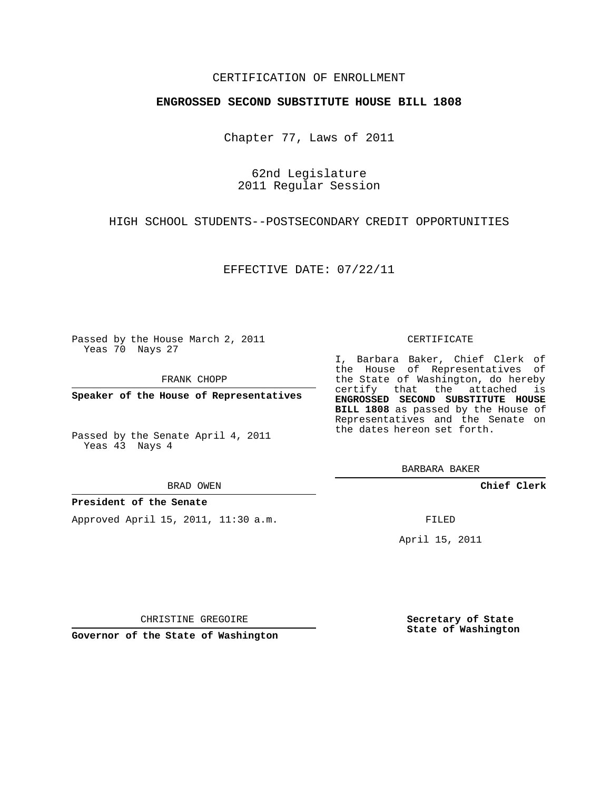## CERTIFICATION OF ENROLLMENT

## **ENGROSSED SECOND SUBSTITUTE HOUSE BILL 1808**

Chapter 77, Laws of 2011

62nd Legislature 2011 Regular Session

HIGH SCHOOL STUDENTS--POSTSECONDARY CREDIT OPPORTUNITIES

EFFECTIVE DATE: 07/22/11

Passed by the House March 2, 2011 Yeas 70 Nays 27

FRANK CHOPP

**Speaker of the House of Representatives**

Passed by the Senate April 4, 2011 Yeas 43 Nays 4

BRAD OWEN

### **President of the Senate**

Approved April 15, 2011, 11:30 a.m.

#### CERTIFICATE

I, Barbara Baker, Chief Clerk of the House of Representatives of the State of Washington, do hereby certify that the attached is **ENGROSSED SECOND SUBSTITUTE HOUSE BILL 1808** as passed by the House of Representatives and the Senate on the dates hereon set forth.

BARBARA BAKER

**Chief Clerk**

FILED

April 15, 2011

CHRISTINE GREGOIRE

**Governor of the State of Washington**

**Secretary of State State of Washington**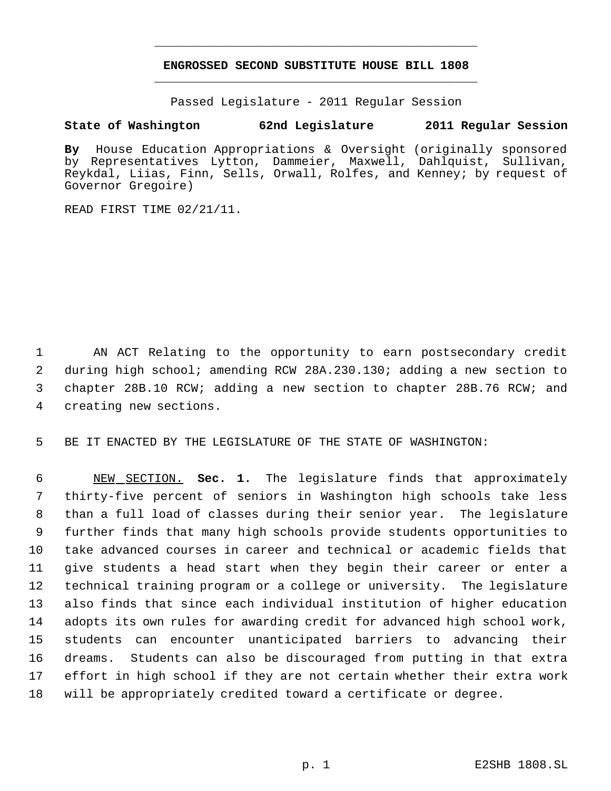# **ENGROSSED SECOND SUBSTITUTE HOUSE BILL 1808** \_\_\_\_\_\_\_\_\_\_\_\_\_\_\_\_\_\_\_\_\_\_\_\_\_\_\_\_\_\_\_\_\_\_\_\_\_\_\_\_\_\_\_\_\_

\_\_\_\_\_\_\_\_\_\_\_\_\_\_\_\_\_\_\_\_\_\_\_\_\_\_\_\_\_\_\_\_\_\_\_\_\_\_\_\_\_\_\_\_\_

Passed Legislature - 2011 Regular Session

# **State of Washington 62nd Legislature 2011 Regular Session**

**By** House Education Appropriations & Oversight (originally sponsored by Representatives Lytton, Dammeier, Maxwell, Dahlquist, Sullivan, Reykdal, Liias, Finn, Sells, Orwall, Rolfes, and Kenney; by request of Governor Gregoire)

READ FIRST TIME 02/21/11.

 AN ACT Relating to the opportunity to earn postsecondary credit during high school; amending RCW 28A.230.130; adding a new section to chapter 28B.10 RCW; adding a new section to chapter 28B.76 RCW; and creating new sections.

BE IT ENACTED BY THE LEGISLATURE OF THE STATE OF WASHINGTON:

 NEW SECTION. **Sec. 1.** The legislature finds that approximately thirty-five percent of seniors in Washington high schools take less than a full load of classes during their senior year. The legislature further finds that many high schools provide students opportunities to take advanced courses in career and technical or academic fields that give students a head start when they begin their career or enter a technical training program or a college or university. The legislature also finds that since each individual institution of higher education adopts its own rules for awarding credit for advanced high school work, students can encounter unanticipated barriers to advancing their dreams. Students can also be discouraged from putting in that extra effort in high school if they are not certain whether their extra work will be appropriately credited toward a certificate or degree.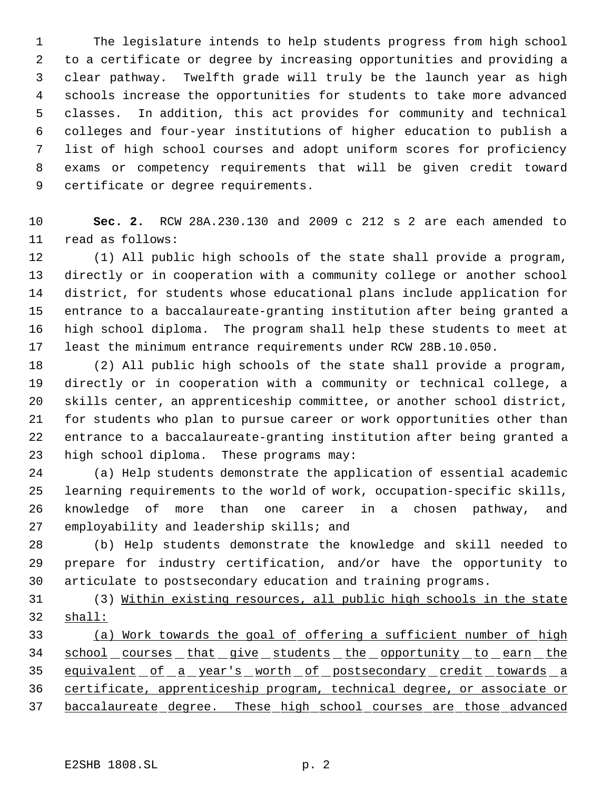The legislature intends to help students progress from high school to a certificate or degree by increasing opportunities and providing a clear pathway. Twelfth grade will truly be the launch year as high schools increase the opportunities for students to take more advanced classes. In addition, this act provides for community and technical colleges and four-year institutions of higher education to publish a list of high school courses and adopt uniform scores for proficiency exams or competency requirements that will be given credit toward certificate or degree requirements.

 **Sec. 2.** RCW 28A.230.130 and 2009 c 212 s 2 are each amended to read as follows:

 (1) All public high schools of the state shall provide a program, directly or in cooperation with a community college or another school district, for students whose educational plans include application for entrance to a baccalaureate-granting institution after being granted a high school diploma. The program shall help these students to meet at least the minimum entrance requirements under RCW 28B.10.050.

 (2) All public high schools of the state shall provide a program, directly or in cooperation with a community or technical college, a skills center, an apprenticeship committee, or another school district, for students who plan to pursue career or work opportunities other than entrance to a baccalaureate-granting institution after being granted a high school diploma. These programs may:

 (a) Help students demonstrate the application of essential academic learning requirements to the world of work, occupation-specific skills, knowledge of more than one career in a chosen pathway, and employability and leadership skills; and

 (b) Help students demonstrate the knowledge and skill needed to prepare for industry certification, and/or have the opportunity to articulate to postsecondary education and training programs.

 (3) Within existing resources, all public high schools in the state shall:

 (a) Work towards the goal of offering a sufficient number of high 34 school courses that give students the opportunity to earn the 35 equivalent of a year's worth of postsecondary credit towards a certificate, apprenticeship program, technical degree, or associate or baccalaureate degree. These high school courses are those advanced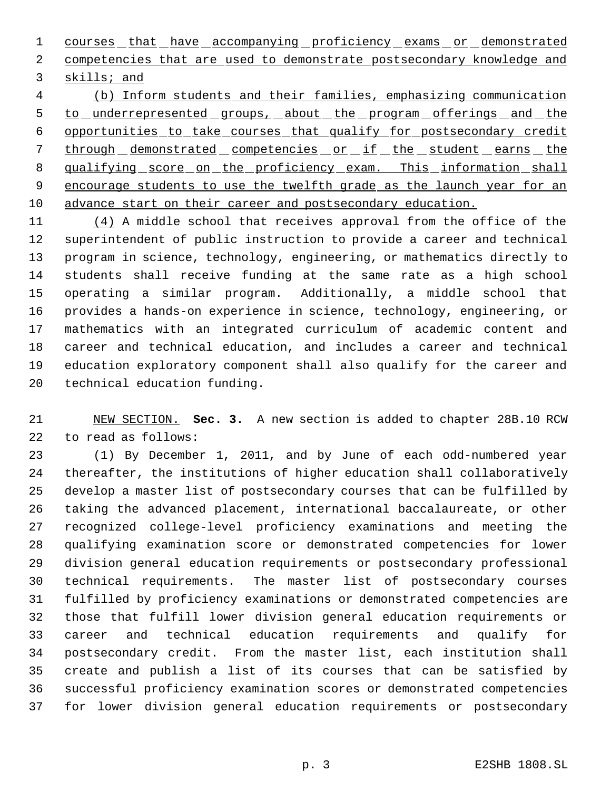1 courses that have accompanying proficiency exams or demonstrated competencies that are used to demonstrate postsecondary knowledge and skills; and

 (b) Inform students and their families, emphasizing communication 5 to underrepresented groups, about the program offerings and the opportunities to take courses that qualify for postsecondary credit 7 through demonstrated competencies or if the student earns the 8 qualifying score on the proficiency exam. This information shall 9 encourage students to use the twelfth grade as the launch year for an advance start on their career and postsecondary education.

11 (4) A middle school that receives approval from the office of the superintendent of public instruction to provide a career and technical program in science, technology, engineering, or mathematics directly to students shall receive funding at the same rate as a high school operating a similar program. Additionally, a middle school that provides a hands-on experience in science, technology, engineering, or mathematics with an integrated curriculum of academic content and career and technical education, and includes a career and technical education exploratory component shall also qualify for the career and technical education funding.

 NEW SECTION. **Sec. 3.** A new section is added to chapter 28B.10 RCW to read as follows:

 (1) By December 1, 2011, and by June of each odd-numbered year thereafter, the institutions of higher education shall collaboratively develop a master list of postsecondary courses that can be fulfilled by taking the advanced placement, international baccalaureate, or other recognized college-level proficiency examinations and meeting the qualifying examination score or demonstrated competencies for lower division general education requirements or postsecondary professional technical requirements. The master list of postsecondary courses fulfilled by proficiency examinations or demonstrated competencies are those that fulfill lower division general education requirements or career and technical education requirements and qualify for postsecondary credit. From the master list, each institution shall create and publish a list of its courses that can be satisfied by successful proficiency examination scores or demonstrated competencies for lower division general education requirements or postsecondary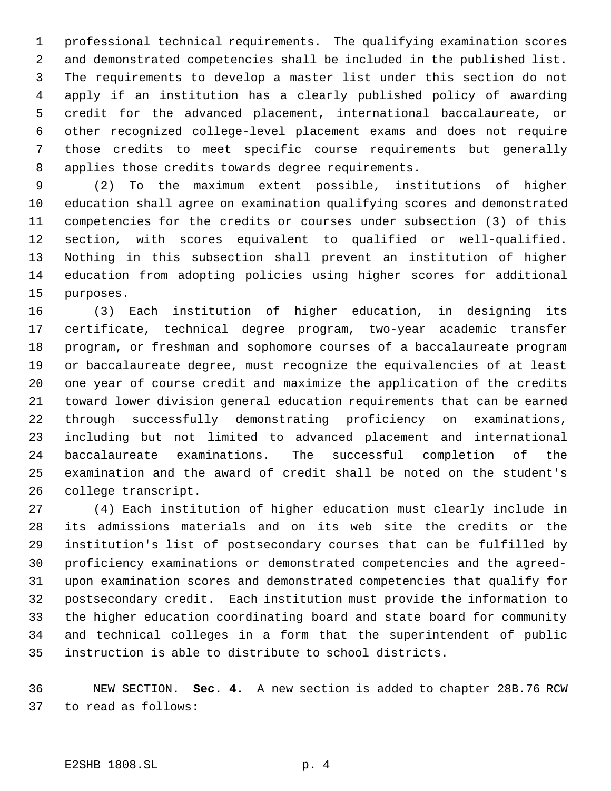professional technical requirements. The qualifying examination scores and demonstrated competencies shall be included in the published list. The requirements to develop a master list under this section do not apply if an institution has a clearly published policy of awarding credit for the advanced placement, international baccalaureate, or other recognized college-level placement exams and does not require those credits to meet specific course requirements but generally applies those credits towards degree requirements.

 (2) To the maximum extent possible, institutions of higher education shall agree on examination qualifying scores and demonstrated competencies for the credits or courses under subsection (3) of this section, with scores equivalent to qualified or well-qualified. Nothing in this subsection shall prevent an institution of higher education from adopting policies using higher scores for additional purposes.

 (3) Each institution of higher education, in designing its certificate, technical degree program, two-year academic transfer program, or freshman and sophomore courses of a baccalaureate program or baccalaureate degree, must recognize the equivalencies of at least one year of course credit and maximize the application of the credits toward lower division general education requirements that can be earned through successfully demonstrating proficiency on examinations, including but not limited to advanced placement and international baccalaureate examinations. The successful completion of the examination and the award of credit shall be noted on the student's college transcript.

 (4) Each institution of higher education must clearly include in its admissions materials and on its web site the credits or the institution's list of postsecondary courses that can be fulfilled by proficiency examinations or demonstrated competencies and the agreed- upon examination scores and demonstrated competencies that qualify for postsecondary credit. Each institution must provide the information to the higher education coordinating board and state board for community and technical colleges in a form that the superintendent of public instruction is able to distribute to school districts.

 NEW SECTION. **Sec. 4.** A new section is added to chapter 28B.76 RCW to read as follows: